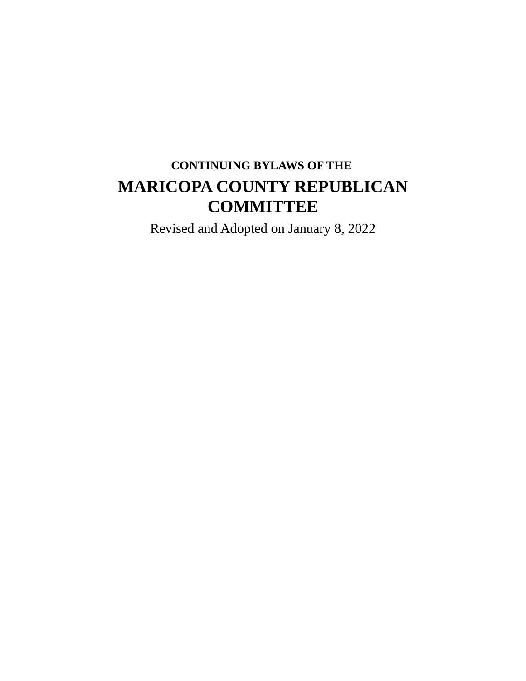# **CONTINUING BYLAWS OF THE MARICOPA COUNTY REPUBLICAN COMMITTEE**

Revised and Adopted on January 8, 2022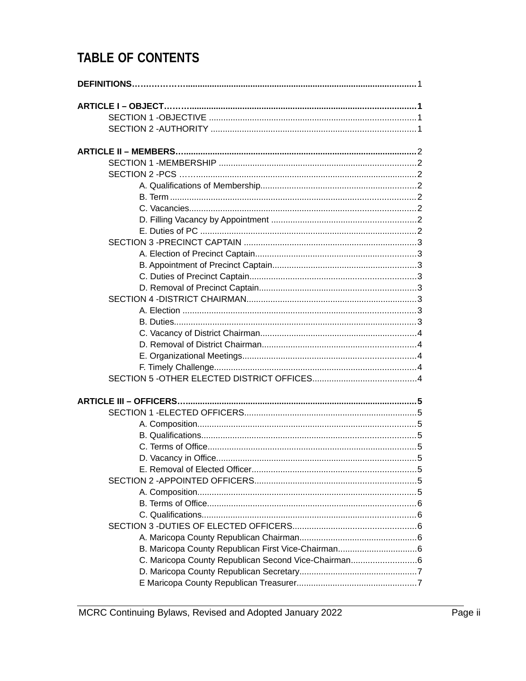# **TABLE OF CONTENTS**

| C. Maricopa County Republican Second Vice-Chairman6 |  |
|-----------------------------------------------------|--|
|                                                     |  |
|                                                     |  |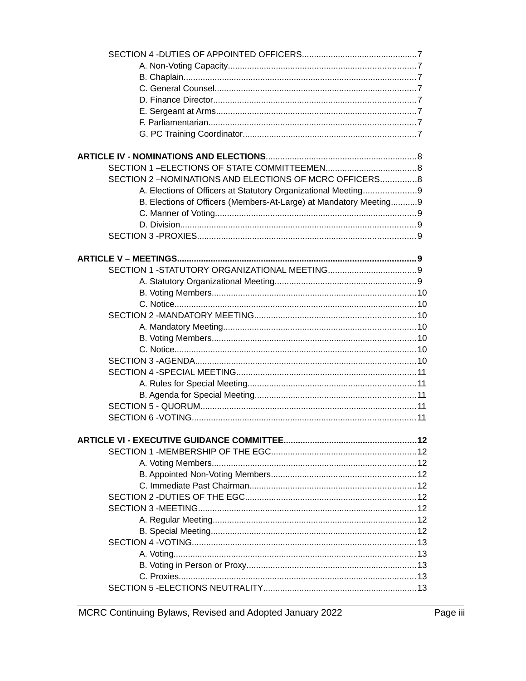| SECTION 2-NOMINATIONS AND ELECTIONS OF MCRC OFFICERS8             |  |
|-------------------------------------------------------------------|--|
| A. Elections of Officers at Statutory Organizational Meeting9     |  |
| B. Elections of Officers (Members-At-Large) at Mandatory Meeting9 |  |
|                                                                   |  |
|                                                                   |  |
|                                                                   |  |
|                                                                   |  |
|                                                                   |  |
|                                                                   |  |
|                                                                   |  |
|                                                                   |  |
|                                                                   |  |
|                                                                   |  |
|                                                                   |  |
|                                                                   |  |
|                                                                   |  |
|                                                                   |  |
|                                                                   |  |
|                                                                   |  |
|                                                                   |  |
|                                                                   |  |
|                                                                   |  |
|                                                                   |  |
|                                                                   |  |
|                                                                   |  |
|                                                                   |  |
|                                                                   |  |
|                                                                   |  |
|                                                                   |  |
|                                                                   |  |
|                                                                   |  |
|                                                                   |  |
|                                                                   |  |
|                                                                   |  |
|                                                                   |  |
|                                                                   |  |
|                                                                   |  |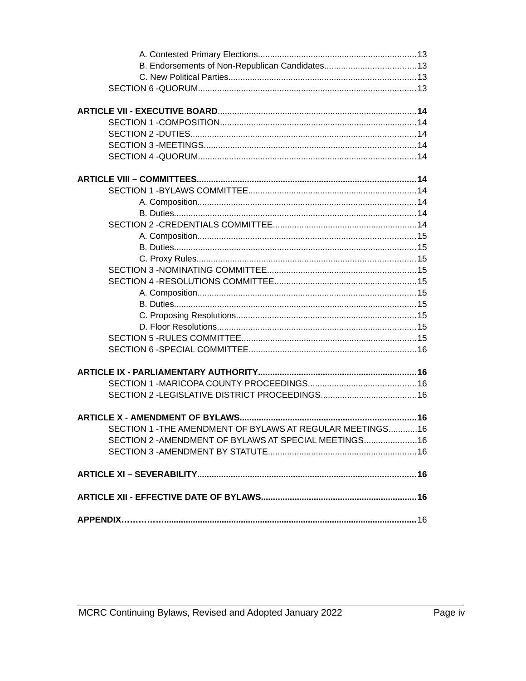| SECTION 1 - THE AMENDMENT OF BYLAWS AT REGULAR MEETINGS16 |  |
|-----------------------------------------------------------|--|
| SECTION 2 - AMENDMENT OF BYLAWS AT SPECIAL MEETINGS16     |  |
|                                                           |  |
|                                                           |  |
|                                                           |  |
|                                                           |  |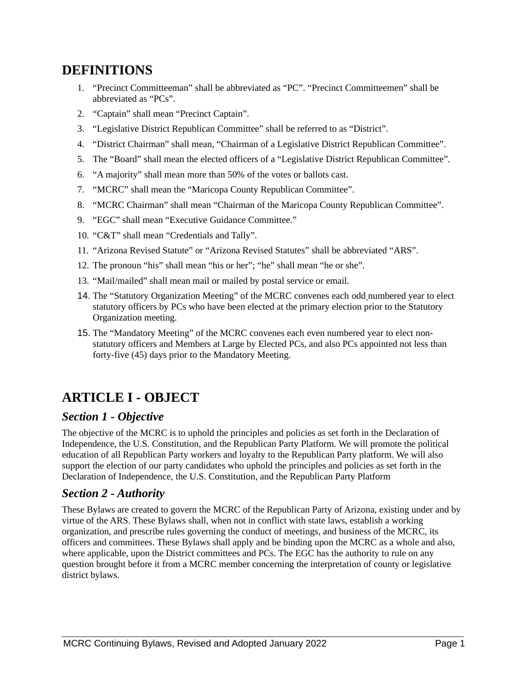# **DEFINITIONS**

- 1. "Precinct Committeeman" shall be abbreviated as "PC". "Precinct Committeemen" shall be abbreviated as "PCs".
- 2. "Captain" shall mean "Precinct Captain".
- 3. "Legislative District Republican Committee" shall be referred to as "District".
- 4. "District Chairman" shall mean, "Chairman of a Legislative District Republican Committee".
- 5. The "Board" shall mean the elected officers of a "Legislative District Republican Committee".
- 6. "A majority" shall mean more than 50% of the votes or ballots cast.
- 7. "MCRC" shall mean the "Maricopa County Republican Committee".
- 8. "MCRC Chairman" shall mean "Chairman of the Maricopa County Republican Committee".
- 9. "EGC" shall mean "Executive Guidance Committee."
- 10. "C&T" shall mean "Credentials and Tally".
- 11. "Arizona Revised Statute" or "Arizona Revised Statutes" shall be abbreviated "ARS".
- 12. The pronoun "his" shall mean "his or her"; "he" shall mean "he or she".
- 13. "Mail/mailed" shall mean mail or mailed by postal service or email.
- 14. The "Statutory Organization Meeting" of the MCRC convenes each odd numbered year to elect statutory officers by PCs who have been elected at the primary election prior to the Statutory Organization meeting.
- 15. The "Mandatory Meeting" of the MCRC convenes each even numbered year to elect nonstatutory officers and Members at Large by Elected PCs, and also PCs appointed not less than forty-five (45) days prior to the Mandatory Meeting.

# **ARTICLE I - OBJECT**

## *Section 1 - Objective*

The objective of the MCRC is to uphold the principles and policies as set forth in the Declaration of Independence, the U.S. Constitution, and the Republican Party Platform. We will promote the political education of all Republican Party workers and loyalty to the Republican Party platform. We will also support the election of our party candidates who uphold the principles and policies as set forth in the Declaration of Independence, the U.S. Constitution, and the Republican Party Platform

## *Section 2 - Authority*

These Bylaws are created to govern the MCRC of the Republican Party of Arizona, existing under and by virtue of the ARS. These Bylaws shall, when not in conflict with state laws, establish a working organization, and prescribe rules governing the conduct of meetings, and business of the MCRC, its officers and committees. These Bylaws shall apply and be binding upon the MCRC as a whole and also, where applicable, upon the District committees and PCs. The EGC has the authority to rule on any question brought before it from a MCRC member concerning the interpretation of county or legislative district bylaws.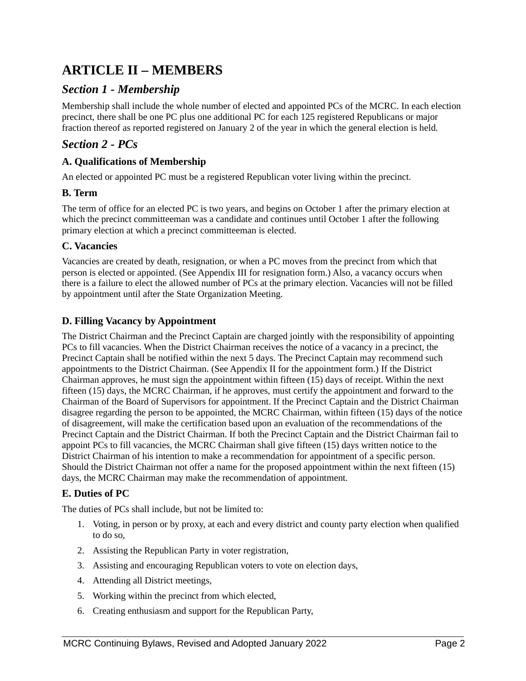# **ARTICLE II – MEMBERS**

## *Section 1 - Membership*

Membership shall include the whole number of elected and appointed PCs of the MCRC. In each election precinct, there shall be one PC plus one additional PC for each 125 registered Republicans or major fraction thereof as reported registered on January 2 of the year in which the general election is held.

## *Section 2 - PCs*

### **A. Qualifications of Membership**

An elected or appointed PC must be a registered Republican voter living within the precinct.

#### **B. Term**

The term of office for an elected PC is two years, and begins on October 1 after the primary election at which the precinct committeeman was a candidate and continues until October 1 after the following primary election at which a precinct committeeman is elected.

#### **C. Vacancies**

Vacancies are created by death, resignation, or when a PC moves from the precinct from which that person is elected or appointed. (See Appendix III for resignation form.) Also, a vacancy occurs when there is a failure to elect the allowed number of PCs at the primary election. Vacancies will not be filled by appointment until after the State Organization Meeting.

#### **D. Filling Vacancy by Appointment**

The District Chairman and the Precinct Captain are charged jointly with the responsibility of appointing PCs to fill vacancies. When the District Chairman receives the notice of a vacancy in a precinct, the Precinct Captain shall be notified within the next 5 days. The Precinct Captain may recommend such appointments to the District Chairman. (See Appendix II for the appointment form.) If the District Chairman approves, he must sign the appointment within fifteen (15) days of receipt. Within the next fifteen (15) days, the MCRC Chairman, if he approves, must certify the appointment and forward to the Chairman of the Board of Supervisors for appointment. If the Precinct Captain and the District Chairman disagree regarding the person to be appointed, the MCRC Chairman, within fifteen (15) days of the notice of disagreement, will make the certification based upon an evaluation of the recommendations of the Precinct Captain and the District Chairman. If both the Precinct Captain and the District Chairman fail to appoint PCs to fill vacancies, the MCRC Chairman shall give fifteen (15) days written notice to the District Chairman of his intention to make a recommendation for appointment of a specific person. Should the District Chairman not offer a name for the proposed appointment within the next fifteen (15) days, the MCRC Chairman may make the recommendation of appointment.

#### **E. Duties of PC**

The duties of PCs shall include, but not be limited to:

- 1. Voting, in person or by proxy, at each and every district and county party election when qualified to do so,
- 2. Assisting the Republican Party in voter registration,
- 3. Assisting and encouraging Republican voters to vote on election days,
- 4. Attending all District meetings,
- 5. Working within the precinct from which elected,
- 6. Creating enthusiasm and support for the Republican Party,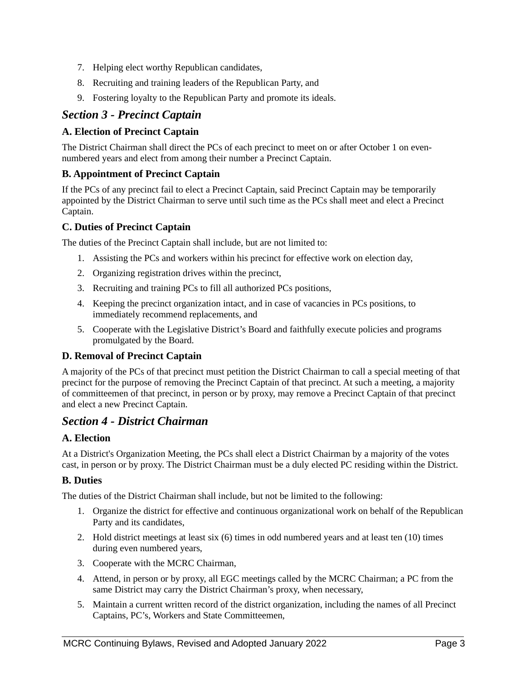- 7. Helping elect worthy Republican candidates,
- 8. Recruiting and training leaders of the Republican Party, and
- 9. Fostering loyalty to the Republican Party and promote its ideals.

## *Section 3 - Precinct Captain*

### **A. Election of Precinct Captain**

The District Chairman shall direct the PCs of each precinct to meet on or after October 1 on evennumbered years and elect from among their number a Precinct Captain.

#### **B. Appointment of Precinct Captain**

If the PCs of any precinct fail to elect a Precinct Captain, said Precinct Captain may be temporarily appointed by the District Chairman to serve until such time as the PCs shall meet and elect a Precinct Captain.

#### **C. Duties of Precinct Captain**

The duties of the Precinct Captain shall include, but are not limited to:

- 1. Assisting the PCs and workers within his precinct for effective work on election day,
- 2. Organizing registration drives within the precinct,
- 3. Recruiting and training PCs to fill all authorized PCs positions,
- 4. Keeping the precinct organization intact, and in case of vacancies in PCs positions, to immediately recommend replacements, and
- 5. Cooperate with the Legislative District's Board and faithfully execute policies and programs promulgated by the Board.

#### **D. Removal of Precinct Captain**

A majority of the PCs of that precinct must petition the District Chairman to call a special meeting of that precinct for the purpose of removing the Precinct Captain of that precinct. At such a meeting, a majority of committeemen of that precinct, in person or by proxy, may remove a Precinct Captain of that precinct and elect a new Precinct Captain.

## *Section 4 - District Chairman*

#### **A. Election**

At a District's Organization Meeting, the PCs shall elect a District Chairman by a majority of the votes cast, in person or by proxy. The District Chairman must be a duly elected PC residing within the District.

#### **B. Duties**

The duties of the District Chairman shall include, but not be limited to the following:

- 1. Organize the district for effective and continuous organizational work on behalf of the Republican Party and its candidates,
- 2. Hold district meetings at least six (6) times in odd numbered years and at least ten (10) times during even numbered years,
- 3. Cooperate with the MCRC Chairman,
- 4. Attend, in person or by proxy, all EGC meetings called by the MCRC Chairman; a PC from the same District may carry the District Chairman's proxy, when necessary,
- 5. Maintain a current written record of the district organization, including the names of all Precinct Captains, PC's, Workers and State Committeemen,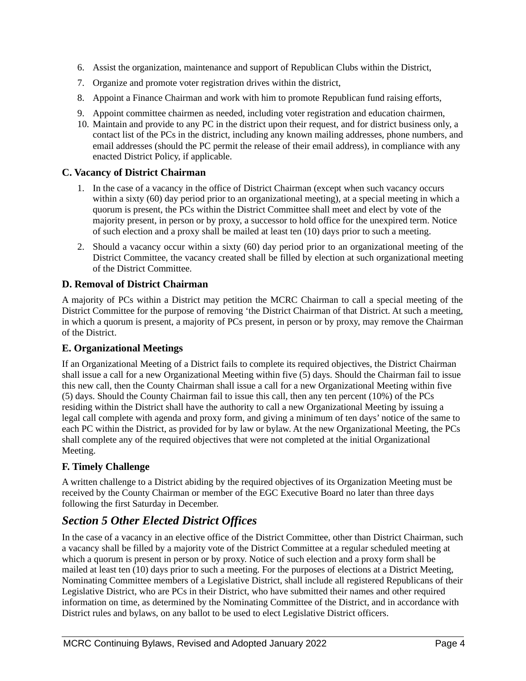- 6. Assist the organization, maintenance and support of Republican Clubs within the District,
- 7. Organize and promote voter registration drives within the district,
- 8. Appoint a Finance Chairman and work with him to promote Republican fund raising efforts,
- 9. Appoint committee chairmen as needed, including voter registration and education chairmen,
- 10. Maintain and provide to any PC in the district upon their request, and for district business only, a contact list of the PCs in the district, including any known mailing addresses, phone numbers, and email addresses (should the PC permit the release of their email address), in compliance with any enacted District Policy, if applicable.

#### **C. Vacancy of District Chairman**

- 1. In the case of a vacancy in the office of District Chairman (except when such vacancy occurs within a sixty (60) day period prior to an organizational meeting), at a special meeting in which a quorum is present, the PCs within the District Committee shall meet and elect by vote of the majority present, in person or by proxy, a successor to hold office for the unexpired term. Notice of such election and a proxy shall be mailed at least ten (10) days prior to such a meeting.
- 2. Should a vacancy occur within a sixty (60) day period prior to an organizational meeting of the District Committee, the vacancy created shall be filled by election at such organizational meeting of the District Committee.

#### **D. Removal of District Chairman**

A majority of PCs within a District may petition the MCRC Chairman to call a special meeting of the District Committee for the purpose of removing 'the District Chairman of that District. At such a meeting, in which a quorum is present, a majority of PCs present, in person or by proxy, may remove the Chairman of the District.

#### **E. Organizational Meetings**

If an Organizational Meeting of a District fails to complete its required objectives, the District Chairman shall issue a call for a new Organizational Meeting within five (5) days. Should the Chairman fail to issue this new call, then the County Chairman shall issue a call for a new Organizational Meeting within five (5) days. Should the County Chairman fail to issue this call, then any ten percent (10%) of the PCs residing within the District shall have the authority to call a new Organizational Meeting by issuing a legal call complete with agenda and proxy form, and giving a minimum of ten days' notice of the same to each PC within the District, as provided for by law or bylaw. At the new Organizational Meeting, the PCs shall complete any of the required objectives that were not completed at the initial Organizational Meeting.

## **F. Timely Challenge**

A written challenge to a District abiding by the required objectives of its Organization Meeting must be received by the County Chairman or member of the EGC Executive Board no later than three days following the first Saturday in December.

# *Section 5 Other Elected District Offices*

In the case of a vacancy in an elective office of the District Committee, other than District Chairman, such a vacancy shall be filled by a majority vote of the District Committee at a regular scheduled meeting at which a quorum is present in person or by proxy. Notice of such election and a proxy form shall be mailed at least ten (10) days prior to such a meeting. For the purposes of elections at a District Meeting, Nominating Committee members of a Legislative District, shall include all registered Republicans of their Legislative District, who are PCs in their District, who have submitted their names and other required information on time, as determined by the Nominating Committee of the District, and in accordance with District rules and bylaws, on any ballot to be used to elect Legislative District officers.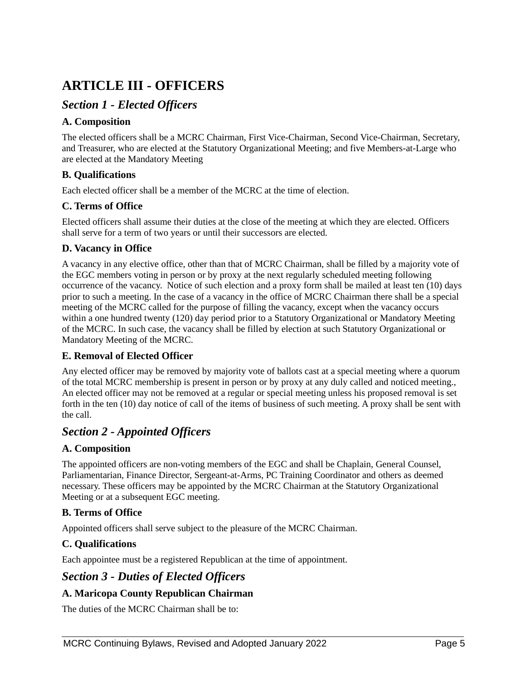# **ARTICLE III - OFFICERS**

# *Section 1 - Elected Officers*

### **A. Composition**

The elected officers shall be a MCRC Chairman, First Vice-Chairman, Second Vice-Chairman, Secretary, and Treasurer, who are elected at the Statutory Organizational Meeting; and five Members-at-Large who are elected at the Mandatory Meeting

## **B. Qualifications**

Each elected officer shall be a member of the MCRC at the time of election.

### **C. Terms of Office**

Elected officers shall assume their duties at the close of the meeting at which they are elected. Officers shall serve for a term of two years or until their successors are elected.

### **D. Vacancy in Office**

A vacancy in any elective office, other than that of MCRC Chairman, shall be filled by a majority vote of the EGC members voting in person or by proxy at the next regularly scheduled meeting following occurrence of the vacancy. Notice of such election and a proxy form shall be mailed at least ten (10) days prior to such a meeting. In the case of a vacancy in the office of MCRC Chairman there shall be a special meeting of the MCRC called for the purpose of filling the vacancy, except when the vacancy occurs within a one hundred twenty (120) day period prior to a Statutory Organizational or Mandatory Meeting of the MCRC. In such case, the vacancy shall be filled by election at such Statutory Organizational or Mandatory Meeting of the MCRC.

#### **E. Removal of Elected Officer**

Any elected officer may be removed by majority vote of ballots cast at a special meeting where a quorum of the total MCRC membership is present in person or by proxy at any duly called and noticed meeting., An elected officer may not be removed at a regular or special meeting unless his proposed removal is set forth in the ten (10) day notice of call of the items of business of such meeting. A proxy shall be sent with the call.

# *Section 2 - Appointed Officers*

#### **A. Composition**

The appointed officers are non-voting members of the EGC and shall be Chaplain, General Counsel, Parliamentarian, Finance Director, Sergeant-at-Arms, PC Training Coordinator and others as deemed necessary. These officers may be appointed by the MCRC Chairman at the Statutory Organizational Meeting or at a subsequent EGC meeting.

## **B. Terms of Office**

Appointed officers shall serve subject to the pleasure of the MCRC Chairman.

## **C. Qualifications**

Each appointee must be a registered Republican at the time of appointment.

## *Section 3 - Duties of Elected Officers*

## **A. Maricopa County Republican Chairman**

The duties of the MCRC Chairman shall be to: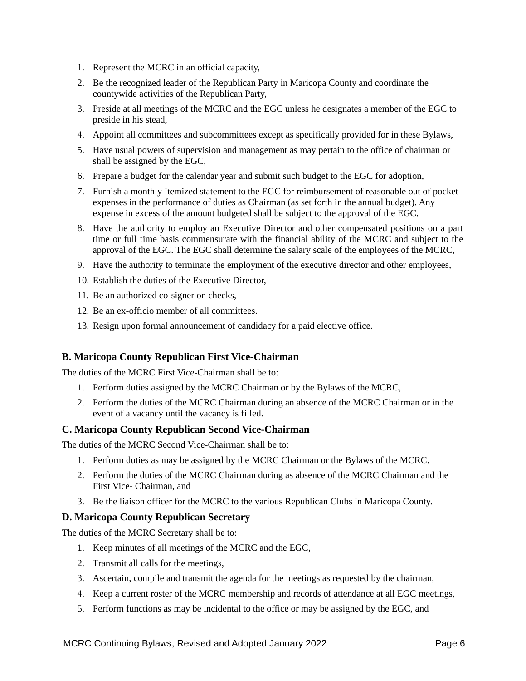- 1. Represent the MCRC in an official capacity,
- 2. Be the recognized leader of the Republican Party in Maricopa County and coordinate the countywide activities of the Republican Party,
- 3. Preside at all meetings of the MCRC and the EGC unless he designates a member of the EGC to preside in his stead,
- 4. Appoint all committees and subcommittees except as specifically provided for in these Bylaws,
- 5. Have usual powers of supervision and management as may pertain to the office of chairman or shall be assigned by the EGC,
- 6. Prepare a budget for the calendar year and submit such budget to the EGC for adoption,
- 7. Furnish a monthly Itemized statement to the EGC for reimbursement of reasonable out of pocket expenses in the performance of duties as Chairman (as set forth in the annual budget). Any expense in excess of the amount budgeted shall be subject to the approval of the EGC,
- 8. Have the authority to employ an Executive Director and other compensated positions on a part time or full time basis commensurate with the financial ability of the MCRC and subject to the approval of the EGC. The EGC shall determine the salary scale of the employees of the MCRC,
- 9. Have the authority to terminate the employment of the executive director and other employees,
- 10. Establish the duties of the Executive Director,
- 11. Be an authorized co-signer on checks,
- 12. Be an ex-officio member of all committees.
- 13. Resign upon formal announcement of candidacy for a paid elective office.

#### **B. Maricopa County Republican First Vice-Chairman**

The duties of the MCRC First Vice-Chairman shall be to:

- 1. Perform duties assigned by the MCRC Chairman or by the Bylaws of the MCRC,
- 2. Perform the duties of the MCRC Chairman during an absence of the MCRC Chairman or in the event of a vacancy until the vacancy is filled.

#### **C. Maricopa County Republican Second Vice-Chairman**

The duties of the MCRC Second Vice-Chairman shall be to:

- 1. Perform duties as may be assigned by the MCRC Chairman or the Bylaws of the MCRC.
- 2. Perform the duties of the MCRC Chairman during as absence of the MCRC Chairman and the First Vice- Chairman, and
- 3. Be the liaison officer for the MCRC to the various Republican Clubs in Maricopa County.

#### **D. Maricopa County Republican Secretary**

The duties of the MCRC Secretary shall be to:

- 1. Keep minutes of all meetings of the MCRC and the EGC,
- 2. Transmit all calls for the meetings,
- 3. Ascertain, compile and transmit the agenda for the meetings as requested by the chairman,
- 4. Keep a current roster of the MCRC membership and records of attendance at all EGC meetings,
- 5. Perform functions as may be incidental to the office or may be assigned by the EGC, and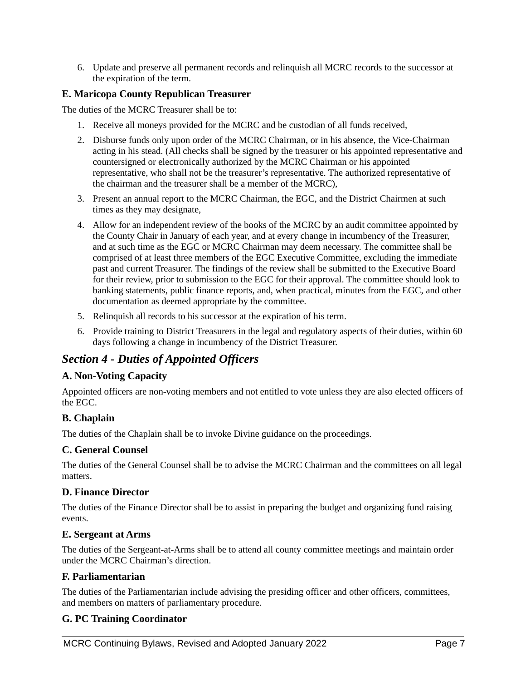6. Update and preserve all permanent records and relinquish all MCRC records to the successor at the expiration of the term.

#### **E. Maricopa County Republican Treasurer**

The duties of the MCRC Treasurer shall be to:

- 1. Receive all moneys provided for the MCRC and be custodian of all funds received,
- 2. Disburse funds only upon order of the MCRC Chairman, or in his absence, the Vice-Chairman acting in his stead. (All checks shall be signed by the treasurer or his appointed representative and countersigned or electronically authorized by the MCRC Chairman or his appointed representative, who shall not be the treasurer's representative. The authorized representative of the chairman and the treasurer shall be a member of the MCRC),
- 3. Present an annual report to the MCRC Chairman, the EGC, and the District Chairmen at such times as they may designate,
- 4. Allow for an independent review of the books of the MCRC by an audit committee appointed by the County Chair in January of each year, and at every change in incumbency of the Treasurer, and at such time as the EGC or MCRC Chairman may deem necessary. The committee shall be comprised of at least three members of the EGC Executive Committee, excluding the immediate past and current Treasurer. The findings of the review shall be submitted to the Executive Board for their review, prior to submission to the EGC for their approval. The committee should look to banking statements, public finance reports, and, when practical, minutes from the EGC, and other documentation as deemed appropriate by the committee.
- 5. Relinquish all records to his successor at the expiration of his term.
- 6. Provide training to District Treasurers in the legal and regulatory aspects of their duties, within 60 days following a change in incumbency of the District Treasurer.

# *Section 4 - Duties of Appointed Officers*

#### **A. Non-Voting Capacity**

Appointed officers are non-voting members and not entitled to vote unless they are also elected officers of the EGC.

## **B. Chaplain**

The duties of the Chaplain shall be to invoke Divine guidance on the proceedings.

#### **C. General Counsel**

The duties of the General Counsel shall be to advise the MCRC Chairman and the committees on all legal matters.

#### **D. Finance Director**

The duties of the Finance Director shall be to assist in preparing the budget and organizing fund raising events.

#### **E. Sergeant at Arms**

The duties of the Sergeant-at-Arms shall be to attend all county committee meetings and maintain order under the MCRC Chairman's direction.

#### **F. Parliamentarian**

The duties of the Parliamentarian include advising the presiding officer and other officers, committees, and members on matters of parliamentary procedure.

## **G. PC Training Coordinator**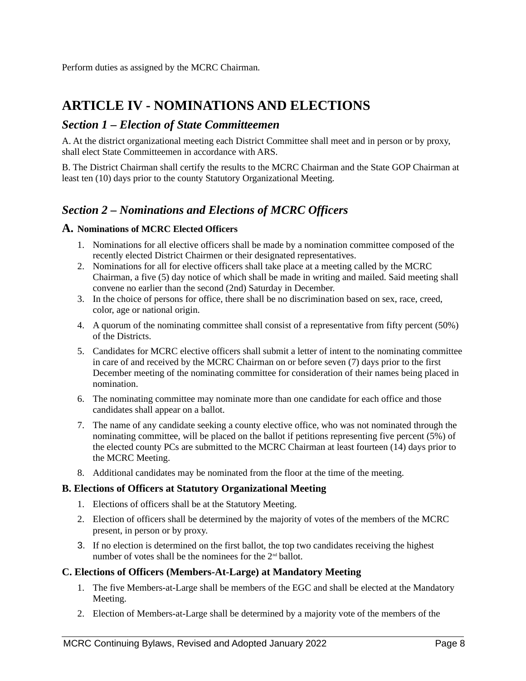Perform duties as assigned by the MCRC Chairman.

# **ARTICLE IV - NOMINATIONS AND ELECTIONS**

## *Section 1 – Election of State Committeemen*

A. At the district organizational meeting each District Committee shall meet and in person or by proxy, shall elect State Committeemen in accordance with ARS.

B. The District Chairman shall certify the results to the MCRC Chairman and the State GOP Chairman at least ten (10) days prior to the county Statutory Organizational Meeting.

# *Section 2 – Nominations and Elections of MCRC Officers*

#### **A. Nominations of MCRC Elected Officers**

- 1. Nominations for all elective officers shall be made by a nomination committee composed of the recently elected District Chairmen or their designated representatives.
- 2. Nominations for all for elective officers shall take place at a meeting called by the MCRC Chairman, a five (5) day notice of which shall be made in writing and mailed. Said meeting shall convene no earlier than the second (2nd) Saturday in December.
- 3. In the choice of persons for office, there shall be no discrimination based on sex, race, creed, color, age or national origin.
- 4. A quorum of the nominating committee shall consist of a representative from fifty percent (50%) of the Districts.
- 5. Candidates for MCRC elective officers shall submit a letter of intent to the nominating committee in care of and received by the MCRC Chairman on or before seven (7) days prior to the first December meeting of the nominating committee for consideration of their names being placed in nomination.
- 6. The nominating committee may nominate more than one candidate for each office and those candidates shall appear on a ballot.
- 7. The name of any candidate seeking a county elective office, who was not nominated through the nominating committee, will be placed on the ballot if petitions representing five percent (5%) of the elected county PCs are submitted to the MCRC Chairman at least fourteen (14) days prior to the MCRC Meeting.
- 8. Additional candidates may be nominated from the floor at the time of the meeting.

#### **B. Elections of Officers at Statutory Organizational Meeting**

- 1. Elections of officers shall be at the Statutory Meeting.
- 2. Election of officers shall be determined by the majority of votes of the members of the MCRC present, in person or by proxy.
- 3. If no election is determined on the first ballot, the top two candidates receiving the highest number of votes shall be the nominees for the  $2^{nd}$  ballot.

#### **C. Elections of Officers (Members-At-Large) at Mandatory Meeting**

- 1. The five Members-at-Large shall be members of the EGC and shall be elected at the Mandatory Meeting.
- 2. Election of Members-at-Large shall be determined by a majority vote of the members of the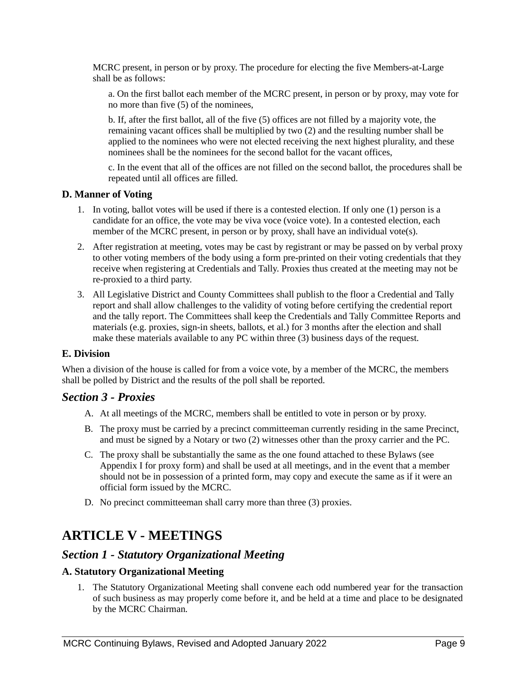MCRC present, in person or by proxy. The procedure for electing the five Members-at-Large shall be as follows:

a. On the first ballot each member of the MCRC present, in person or by proxy, may vote for no more than five (5) of the nominees,

b. If, after the first ballot, all of the five (5) offices are not filled by a majority vote, the remaining vacant offices shall be multiplied by two (2) and the resulting number shall be applied to the nominees who were not elected receiving the next highest plurality, and these nominees shall be the nominees for the second ballot for the vacant offices,

c. In the event that all of the offices are not filled on the second ballot, the procedures shall be repeated until all offices are filled.

#### **D. Manner of Voting**

- 1. In voting, ballot votes will be used if there is a contested election. If only one (1) person is a candidate for an office, the vote may be viva voce (voice vote). In a contested election, each member of the MCRC present, in person or by proxy, shall have an individual vote(s).
- 2. After registration at meeting, votes may be cast by registrant or may be passed on by verbal proxy to other voting members of the body using a form pre-printed on their voting credentials that they receive when registering at Credentials and Tally. Proxies thus created at the meeting may not be re-proxied to a third party.
- 3. All Legislative District and County Committees shall publish to the floor a Credential and Tally report and shall allow challenges to the validity of voting before certifying the credential report and the tally report. The Committees shall keep the Credentials and Tally Committee Reports and materials (e.g. proxies, sign-in sheets, ballots, et al.) for 3 months after the election and shall make these materials available to any PC within three (3) business days of the request.

#### **E. Division**

When a division of the house is called for from a voice vote, by a member of the MCRC, the members shall be polled by District and the results of the poll shall be reported.

#### *Section 3 - Proxies*

- A. At all meetings of the MCRC, members shall be entitled to vote in person or by proxy.
- B. The proxy must be carried by a precinct committeeman currently residing in the same Precinct, and must be signed by a Notary or two (2) witnesses other than the proxy carrier and the PC.
- C. The proxy shall be substantially the same as the one found attached to these Bylaws (see Appendix I for proxy form) and shall be used at all meetings, and in the event that a member should not be in possession of a printed form, may copy and execute the same as if it were an official form issued by the MCRC.
- D. No precinct committeeman shall carry more than three (3) proxies.

# **ARTICLE V - MEETINGS**

## *Section 1 - Statutory Organizational Meeting*

#### **A. Statutory Organizational Meeting**

1. The Statutory Organizational Meeting shall convene each odd numbered year for the transaction of such business as may properly come before it, and be held at a time and place to be designated by the MCRC Chairman.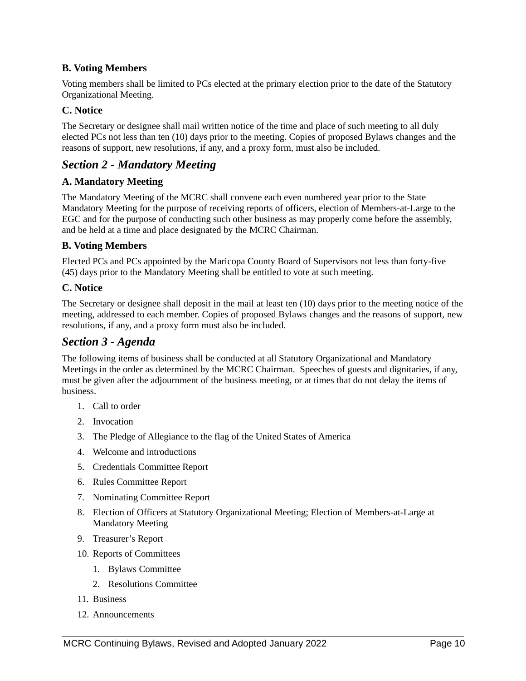#### **B. Voting Members**

Voting members shall be limited to PCs elected at the primary election prior to the date of the Statutory Organizational Meeting.

#### **C. Notice**

The Secretary or designee shall mail written notice of the time and place of such meeting to all duly elected PCs not less than ten (10) days prior to the meeting. Copies of proposed Bylaws changes and the reasons of support, new resolutions, if any, and a proxy form, must also be included.

## *Section 2 - Mandatory Meeting*

#### **A. Mandatory Meeting**

The Mandatory Meeting of the MCRC shall convene each even numbered year prior to the State Mandatory Meeting for the purpose of receiving reports of officers, election of Members-at-Large to the EGC and for the purpose of conducting such other business as may properly come before the assembly, and be held at a time and place designated by the MCRC Chairman.

#### **B. Voting Members**

Elected PCs and PCs appointed by the Maricopa County Board of Supervisors not less than forty-five (45) days prior to the Mandatory Meeting shall be entitled to vote at such meeting.

#### **C. Notice**

The Secretary or designee shall deposit in the mail at least ten (10) days prior to the meeting notice of the meeting, addressed to each member. Copies of proposed Bylaws changes and the reasons of support, new resolutions, if any, and a proxy form must also be included.

### *Section 3 - Agenda*

The following items of business shall be conducted at all Statutory Organizational and Mandatory Meetings in the order as determined by the MCRC Chairman. Speeches of guests and dignitaries, if any, must be given after the adjournment of the business meeting, or at times that do not delay the items of business.

- 1. Call to order
- 2. Invocation
- 3. The Pledge of Allegiance to the flag of the United States of America
- 4. Welcome and introductions
- 5. Credentials Committee Report
- 6. Rules Committee Report
- 7. Nominating Committee Report
- 8. Election of Officers at Statutory Organizational Meeting; Election of Members-at-Large at Mandatory Meeting
- 9. Treasurer's Report
- 10. Reports of Committees
	- 1. Bylaws Committee
	- 2. Resolutions Committee
- 11. Business
- 12. Announcements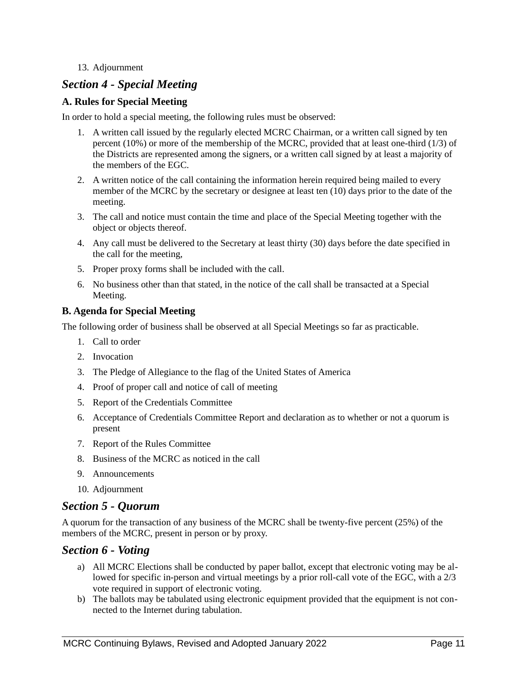#### 13. Adjournment

## *Section 4 - Special Meeting*

#### **A. Rules for Special Meeting**

In order to hold a special meeting, the following rules must be observed:

- 1. A written call issued by the regularly elected MCRC Chairman, or a written call signed by ten percent (10%) or more of the membership of the MCRC, provided that at least one-third (1/3) of the Districts are represented among the signers, or a written call signed by at least a majority of the members of the EGC.
- 2. A written notice of the call containing the information herein required being mailed to every member of the MCRC by the secretary or designee at least ten (10) days prior to the date of the meeting.
- 3. The call and notice must contain the time and place of the Special Meeting together with the object or objects thereof.
- 4. Any call must be delivered to the Secretary at least thirty (30) days before the date specified in the call for the meeting,
- 5. Proper proxy forms shall be included with the call.
- 6. No business other than that stated, in the notice of the call shall be transacted at a Special Meeting.

#### **B. Agenda for Special Meeting**

The following order of business shall be observed at all Special Meetings so far as practicable.

- 1. Call to order
- 2. Invocation
- 3. The Pledge of Allegiance to the flag of the United States of America
- 4. Proof of proper call and notice of call of meeting
- 5. Report of the Credentials Committee
- 6. Acceptance of Credentials Committee Report and declaration as to whether or not a quorum is present
- 7. Report of the Rules Committee
- 8. Business of the MCRC as noticed in the call
- 9. Announcements
- 10. Adjournment

## *Section 5 - Quorum*

A quorum for the transaction of any business of the MCRC shall be twenty-five percent (25%) of the members of the MCRC, present in person or by proxy.

#### *Section 6 - Voting*

- a) All MCRC Elections shall be conducted by paper ballot, except that electronic voting may be allowed for specific in-person and virtual meetings by a prior roll-call vote of the EGC, with a 2/3 vote required in support of electronic voting.
- b) The ballots may be tabulated using electronic equipment provided that the equipment is not connected to the Internet during tabulation.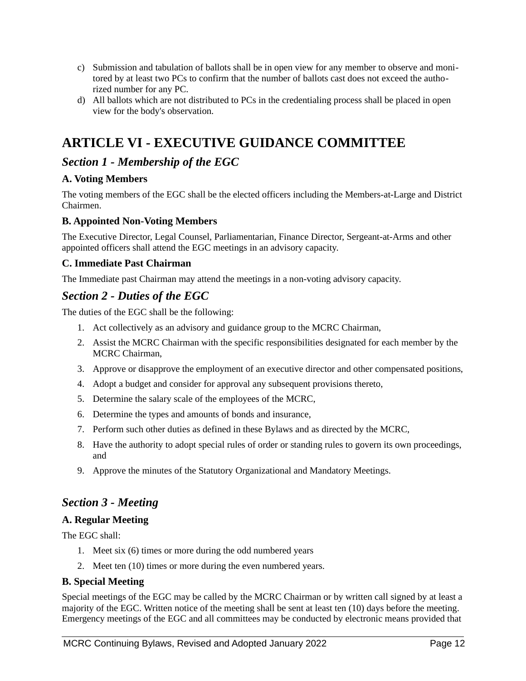- c) Submission and tabulation of ballots shall be in open view for any member to observe and monitored by at least two PCs to confirm that the number of ballots cast does not exceed the authorized number for any PC.
- d) All ballots which are not distributed to PCs in the credentialing process shall be placed in open view for the body's observation.

# **ARTICLE VI - EXECUTIVE GUIDANCE COMMITTEE**

# *Section 1 - Membership of the EGC*

## **A. Voting Members**

The voting members of the EGC shall be the elected officers including the Members-at-Large and District Chairmen.

### **B. Appointed Non-Voting Members**

The Executive Director, Legal Counsel, Parliamentarian, Finance Director, Sergeant-at-Arms and other appointed officers shall attend the EGC meetings in an advisory capacity.

#### **C. Immediate Past Chairman**

The Immediate past Chairman may attend the meetings in a non-voting advisory capacity.

## *Section 2 - Duties of the EGC*

The duties of the EGC shall be the following:

- 1. Act collectively as an advisory and guidance group to the MCRC Chairman,
- 2. Assist the MCRC Chairman with the specific responsibilities designated for each member by the MCRC Chairman,
- 3. Approve or disapprove the employment of an executive director and other compensated positions,
- 4. Adopt a budget and consider for approval any subsequent provisions thereto,
- 5. Determine the salary scale of the employees of the MCRC,
- 6. Determine the types and amounts of bonds and insurance,
- 7. Perform such other duties as defined in these Bylaws and as directed by the MCRC,
- 8. Have the authority to adopt special rules of order or standing rules to govern its own proceedings, and
- 9. Approve the minutes of the Statutory Organizational and Mandatory Meetings.

# *Section 3 - Meeting*

#### **A. Regular Meeting**

The EGC shall:

- 1. Meet six (6) times or more during the odd numbered years
- 2. Meet ten (10) times or more during the even numbered years.

#### **B. Special Meeting**

Special meetings of the EGC may be called by the MCRC Chairman or by written call signed by at least a majority of the EGC. Written notice of the meeting shall be sent at least ten (10) days before the meeting. Emergency meetings of the EGC and all committees may be conducted by electronic means provided that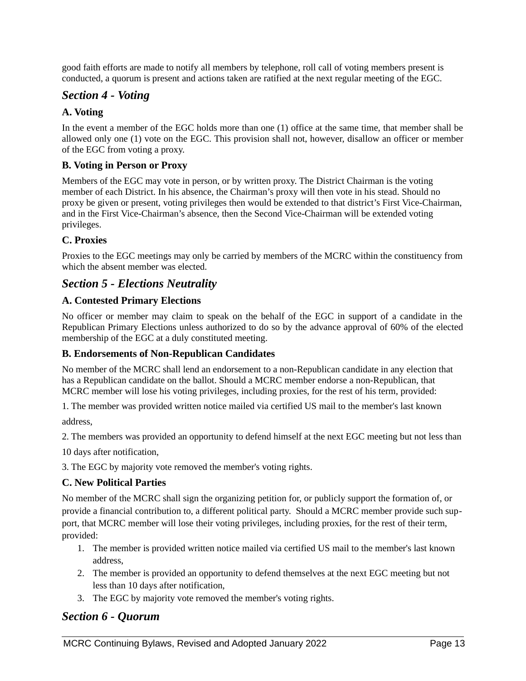good faith efforts are made to notify all members by telephone, roll call of voting members present is conducted, a quorum is present and actions taken are ratified at the next regular meeting of the EGC.

## *Section 4 - Voting*

### **A. Voting**

In the event a member of the EGC holds more than one (1) office at the same time, that member shall be allowed only one (1) vote on the EGC. This provision shall not, however, disallow an officer or member of the EGC from voting a proxy.

#### **B. Voting in Person or Proxy**

Members of the EGC may vote in person, or by written proxy. The District Chairman is the voting member of each District. In his absence, the Chairman's proxy will then vote in his stead. Should no proxy be given or present, voting privileges then would be extended to that district's First Vice-Chairman, and in the First Vice-Chairman's absence, then the Second Vice-Chairman will be extended voting privileges.

#### **C. Proxies**

Proxies to the EGC meetings may only be carried by members of the MCRC within the constituency from which the absent member was elected.

## *Section 5 - Elections Neutrality*

#### **A. Contested Primary Elections**

No officer or member may claim to speak on the behalf of the EGC in support of a candidate in the Republican Primary Elections unless authorized to do so by the advance approval of 60% of the elected membership of the EGC at a duly constituted meeting.

#### **B. Endorsements of Non-Republican Candidates**

No member of the MCRC shall lend an endorsement to a non-Republican candidate in any election that has a Republican candidate on the ballot. Should a MCRC member endorse a non-Republican, that MCRC member will lose his voting privileges, including proxies, for the rest of his term, provided:

1. The member was provided written notice mailed via certified US mail to the member's last known address,

2. The members was provided an opportunity to defend himself at the next EGC meeting but not less than

10 days after notification,

3. The EGC by majority vote removed the member's voting rights.

#### **C. New Political Parties**

No member of the MCRC shall sign the organizing petition for, or publicly support the formation of, or provide a financial contribution to, a different political party. Should a MCRC member provide such support, that MCRC member will lose their voting privileges, including proxies, for the rest of their term, provided:

- 1. The member is provided written notice mailed via certified US mail to the member's last known address,
- 2. The member is provided an opportunity to defend themselves at the next EGC meeting but not less than 10 days after notification,
- 3. The EGC by majority vote removed the member's voting rights.

## *Section 6 - Quorum*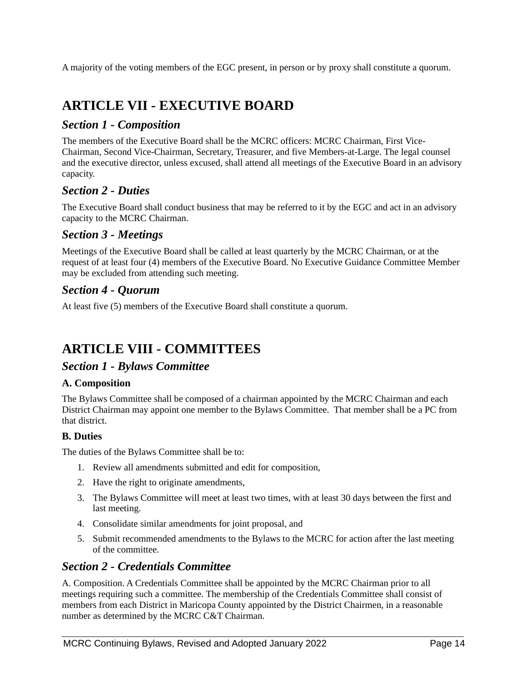A majority of the voting members of the EGC present, in person or by proxy shall constitute a quorum.

# **ARTICLE VII - EXECUTIVE BOARD**

## *Section 1 - Composition*

The members of the Executive Board shall be the MCRC officers: MCRC Chairman, First Vice-Chairman, Second Vice-Chairman, Secretary, Treasurer, and five Members-at-Large. The legal counsel and the executive director, unless excused, shall attend all meetings of the Executive Board in an advisory capacity.

## *Section 2 - Duties*

The Executive Board shall conduct business that may be referred to it by the EGC and act in an advisory capacity to the MCRC Chairman.

## *Section 3 - Meetings*

Meetings of the Executive Board shall be called at least quarterly by the MCRC Chairman, or at the request of at least four (4) members of the Executive Board. No Executive Guidance Committee Member may be excluded from attending such meeting.

## *Section 4 - Quorum*

At least five (5) members of the Executive Board shall constitute a quorum.

# **ARTICLE VIII - COMMITTEES**

## *Section 1 - Bylaws Committee*

#### **A. Composition**

The Bylaws Committee shall be composed of a chairman appointed by the MCRC Chairman and each District Chairman may appoint one member to the Bylaws Committee. That member shall be a PC from that district.

#### **B. Duties**

The duties of the Bylaws Committee shall be to:

- 1. Review all amendments submitted and edit for composition,
- 2. Have the right to originate amendments,
- 3. The Bylaws Committee will meet at least two times, with at least 30 days between the first and last meeting.
- 4. Consolidate similar amendments for joint proposal, and
- 5. Submit recommended amendments to the Bylaws to the MCRC for action after the last meeting of the committee.

## *Section 2 - Credentials Committee*

A. Composition. A Credentials Committee shall be appointed by the MCRC Chairman prior to all meetings requiring such a committee. The membership of the Credentials Committee shall consist of members from each District in Maricopa County appointed by the District Chairmen, in a reasonable number as determined by the MCRC C&T Chairman.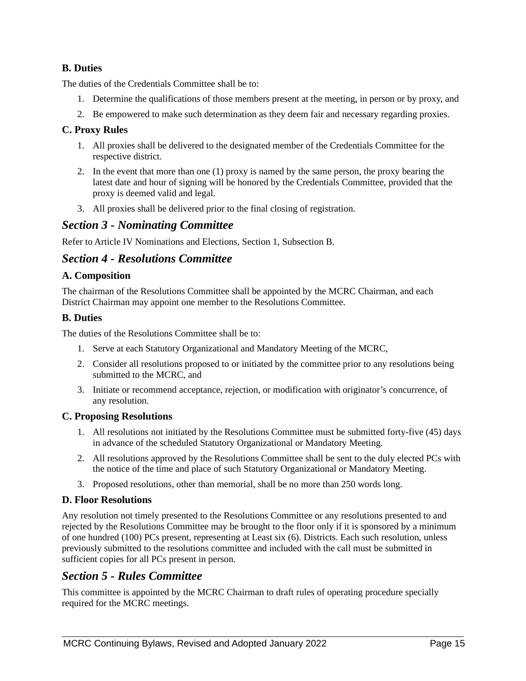### **B. Duties**

The duties of the Credentials Committee shall be to:

- 1. Determine the qualifications of those members present at the meeting, in person or by proxy, and
- 2. Be empowered to make such determination as they deem fair and necessary regarding proxies.

#### **C. Proxy Rules**

- 1. All proxies shall be delivered to the designated member of the Credentials Committee for the respective district.
- 2. In the event that more than one (1) proxy is named by the same person, the proxy bearing the latest date and hour of signing will be honored by the Credentials Committee, provided that the proxy is deemed valid and legal.
- 3. All proxies shall be delivered prior to the final closing of registration.

#### *Section 3 - Nominating Committee*

Refer to Article IV Nominations and Elections, Section 1, Subsection B.

### *Section 4 - Resolutions Committee*

#### **A. Composition**

The chairman of the Resolutions Committee shall be appointed by the MCRC Chairman, and each District Chairman may appoint one member to the Resolutions Committee.

#### **B. Duties**

The duties of the Resolutions Committee shall be to:

- 1. Serve at each Statutory Organizational and Mandatory Meeting of the MCRC,
- 2. Consider all resolutions proposed to or initiated by the committee prior to any resolutions being submitted to the MCRC, and
- 3. Initiate or recommend acceptance, rejection, or modification with originator's concurrence, of any resolution.

#### **C. Proposing Resolutions**

- 1. All resolutions not initiated by the Resolutions Committee must be submitted forty-five (45) days in advance of the scheduled Statutory Organizational or Mandatory Meeting.
- 2. All resolutions approved by the Resolutions Committee shall be sent to the duly elected PCs with the notice of the time and place of such Statutory Organizational or Mandatory Meeting.
- 3. Proposed resolutions, other than memorial, shall be no more than 250 words long.

#### **D. Floor Resolutions**

Any resolution not timely presented to the Resolutions Committee or any resolutions presented to and rejected by the Resolutions Committee may be brought to the floor only if it is sponsored by a minimum of one hundred (100) PCs present, representing at Least six (6). Districts. Each such resolution, unless previously submitted to the resolutions committee and included with the call must be submitted in sufficient copies for all PCs present in person.

## *Section 5 - Rules Committee*

This committee is appointed by the MCRC Chairman to draft rules of operating procedure specially required for the MCRC meetings.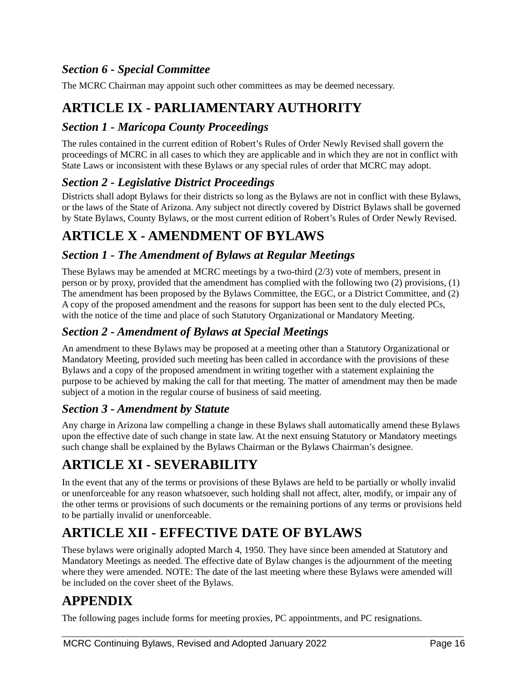# *Section 6 - Special Committee*

The MCRC Chairman may appoint such other committees as may be deemed necessary.

# **ARTICLE IX - PARLIAMENTARY AUTHORITY**

## *Section 1 - Maricopa County Proceedings*

The rules contained in the current edition of Robert's Rules of Order Newly Revised shall govern the proceedings of MCRC in all cases to which they are applicable and in which they are not in conflict with State Laws or inconsistent with these Bylaws or any special rules of order that MCRC may adopt.

## *Section 2 - Legislative District Proceedings*

Districts shall adopt Bylaws for their districts so long as the Bylaws are not in conflict with these Bylaws, or the laws of the State of Arizona. Any subject not directly covered by District Bylaws shall be governed by State Bylaws, County Bylaws, or the most current edition of Robert's Rules of Order Newly Revised.

# **ARTICLE X - AMENDMENT OF BYLAWS**

## *Section 1 - The Amendment of Bylaws at Regular Meetings*

These Bylaws may be amended at MCRC meetings by a two-third (2/3) vote of members, present in person or by proxy, provided that the amendment has complied with the following two (2) provisions, (1) The amendment has been proposed by the Bylaws Committee, the EGC, or a District Committee, and (2) A copy of the proposed amendment and the reasons for support has been sent to the duly elected PCs, with the notice of the time and place of such Statutory Organizational or Mandatory Meeting.

# *Section 2 - Amendment of Bylaws at Special Meetings*

An amendment to these Bylaws may be proposed at a meeting other than a Statutory Organizational or Mandatory Meeting, provided such meeting has been called in accordance with the provisions of these Bylaws and a copy of the proposed amendment in writing together with a statement explaining the purpose to be achieved by making the call for that meeting. The matter of amendment may then be made subject of a motion in the regular course of business of said meeting.

## *Section 3 - Amendment by Statute*

Any charge in Arizona law compelling a change in these Bylaws shall automatically amend these Bylaws upon the effective date of such change in state law. At the next ensuing Statutory or Mandatory meetings such change shall be explained by the Bylaws Chairman or the Bylaws Chairman's designee.

# **ARTICLE XI - SEVERABILITY**

In the event that any of the terms or provisions of these Bylaws are held to be partially or wholly invalid or unenforceable for any reason whatsoever, such holding shall not affect, alter, modify, or impair any of the other terms or provisions of such documents or the remaining portions of any terms or provisions held to be partially invalid or unenforceable.

# **ARTICLE XII - EFFECTIVE DATE OF BYLAWS**

These bylaws were originally adopted March 4, 1950. They have since been amended at Statutory and Mandatory Meetings as needed. The effective date of Bylaw changes is the adjournment of the meeting where they were amended. NOTE: The date of the last meeting where these Bylaws were amended will be included on the cover sheet of the Bylaws.

# **APPENDIX**

The following pages include forms for meeting proxies, PC appointments, and PC resignations.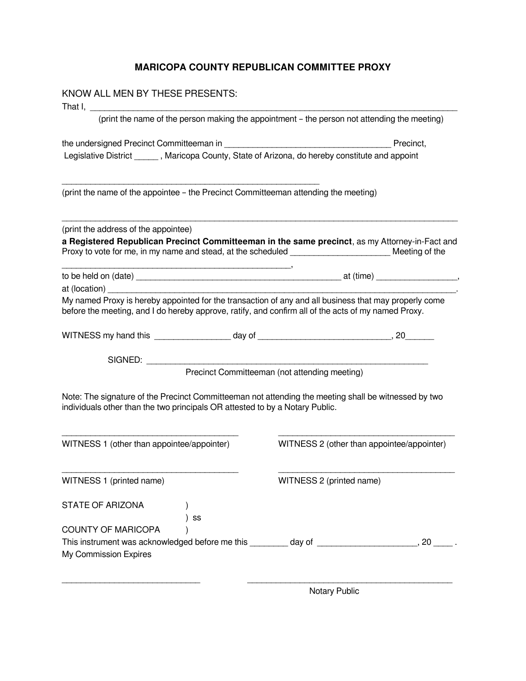## **MARICOPA COUNTY REPUBLICAN COMMITTEE PROXY**

| KNOW ALL MEN BY THESE PRESENTS:                                                                                                                                                                                                                   |                                                                                              |
|---------------------------------------------------------------------------------------------------------------------------------------------------------------------------------------------------------------------------------------------------|----------------------------------------------------------------------------------------------|
|                                                                                                                                                                                                                                                   | (print the name of the person making the appointment - the person not attending the meeting) |
|                                                                                                                                                                                                                                                   | Precinct,                                                                                    |
| Legislative District ______, Maricopa County, State of Arizona, do hereby constitute and appoint                                                                                                                                                  |                                                                                              |
| (print the name of the appointee - the Precinct Committeeman attending the meeting)                                                                                                                                                               |                                                                                              |
| (print the address of the appointee)<br>a Registered Republican Precinct Committeeman in the same precinct, as my Attorney-in-Fact and<br>Proxy to vote for me, in my name and stead, at the scheduled ___________________________ Meeting of the |                                                                                              |
| at (location)                                                                                                                                                                                                                                     |                                                                                              |
| My named Proxy is hereby appointed for the transaction of any and all business that may properly come<br>before the meeting, and I do hereby approve, ratify, and confirm all of the acts of my named Proxy.                                      |                                                                                              |
|                                                                                                                                                                                                                                                   |                                                                                              |
| SIGNED:                                                                                                                                                                                                                                           | Precinct Committeeman (not attending meeting)                                                |
| Note: The signature of the Precinct Committeeman not attending the meeting shall be witnessed by two<br>individuals other than the two principals OR attested to by a Notary Public.                                                              |                                                                                              |
| WITNESS 1 (other than appointee/appointer)                                                                                                                                                                                                        | WITNESS 2 (other than appointee/appointer)                                                   |
| WITNESS 1 (printed name)                                                                                                                                                                                                                          | WITNESS 2 (printed name)                                                                     |
| <b>STATE OF ARIZONA</b><br>SS                                                                                                                                                                                                                     |                                                                                              |
| <b>COUNTY OF MARICOPA</b><br>My Commission Expires                                                                                                                                                                                                |                                                                                              |
|                                                                                                                                                                                                                                                   |                                                                                              |

Notary Public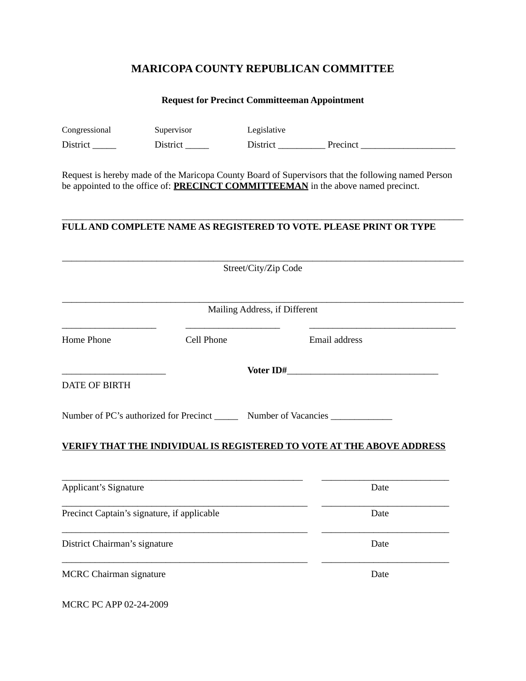# **MARICOPA COUNTY REPUBLICAN COMMITTEE**

## **Request for Precinct Committeeman Appointment**

| Congressional                  | Supervisor                                                                        | Legislative                   |                                                                                                                                                                                                |
|--------------------------------|-----------------------------------------------------------------------------------|-------------------------------|------------------------------------------------------------------------------------------------------------------------------------------------------------------------------------------------|
|                                | $District$ <sub>______</sub>                                                      |                               | District Precinct                                                                                                                                                                              |
|                                |                                                                                   |                               | Request is hereby made of the Maricopa County Board of Supervisors that the following named Person<br>be appointed to the office of: <b>PRECINCT COMMITTEEMAN</b> in the above named precinct. |
|                                |                                                                                   |                               | FULL AND COMPLETE NAME AS REGISTERED TO VOTE. PLEASE PRINT OR TYPE                                                                                                                             |
|                                |                                                                                   | Street/City/Zip Code          |                                                                                                                                                                                                |
|                                |                                                                                   | Mailing Address, if Different |                                                                                                                                                                                                |
| Home Phone                     | Cell Phone                                                                        |                               | Email address                                                                                                                                                                                  |
|                                |                                                                                   |                               |                                                                                                                                                                                                |
| <b>DATE OF BIRTH</b>           |                                                                                   |                               |                                                                                                                                                                                                |
|                                | Number of PC's authorized for Precinct _________ Number of Vacancies ____________ |                               |                                                                                                                                                                                                |
|                                |                                                                                   |                               | <b>VERIFY THAT THE INDIVIDUAL IS REGISTERED TO VOTE AT THE ABOVE ADDRESS</b>                                                                                                                   |
| <b>Applicant's Signature</b>   |                                                                                   |                               | Date                                                                                                                                                                                           |
|                                | Precinct Captain's signature, if applicable                                       |                               | Date                                                                                                                                                                                           |
| District Chairman's signature  |                                                                                   |                               | Date                                                                                                                                                                                           |
| <b>MCRC</b> Chairman signature |                                                                                   |                               | Date                                                                                                                                                                                           |
| MCRC PC APP 02-24-2009         |                                                                                   |                               |                                                                                                                                                                                                |